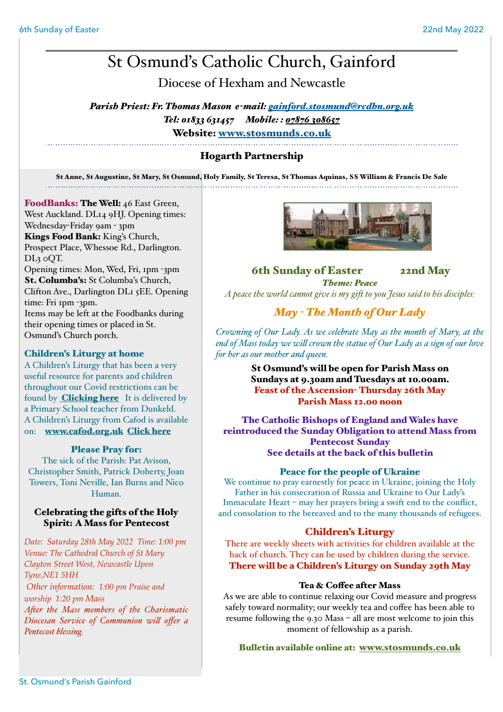# St Osmund's Catholic Church, Gainford

Diocese of Hexham and Newcastle

*Parish Priest: Fr. Thomas Mason e-mail: [gainford.stosmund@rcdhn.org.uk](mailto:gainford.stosmunds@rcdhn.org.uk) Tel: 01833 631457 Mobile: : [07876 308657](tel:07876%20308657)* Website: [www.stosmunds.co.uk](http://www.stosmunds.co.uk)

# Hogarth Partnership

St Anne, St Augustine, St Mary, St Osmund, Holy Family, St Teresa, St Thomas Aquinas, SS William & Francis De Sale

# FoodBanks: The Well: 46 East Green,

West Auckland. DL14 9HJ. Opening times: Wednesday-Friday 9am - 3pm Kings Food Bank: King's Church, Prospect Place, Whessoe Rd., Darlington. DL3 0QT.

Opening times: Mon, Wed, Fri, 1pm -3pm St. Columba's: St Columba's Church, Clifton Ave., Darlington DL1 5EE. Opening time: Fri 1pm -3pm. Items may be left at the Foodbanks during their opening times or placed in St. Osmund's Church porch.

# Children's Liturgy at home

A Children's Liturgy that has been a very useful resource for parents and children throughout our Covid restrictions can be found by **Clicking here** It is delivered by a Primary School teacher from Dunkeld. A Children's Liturgy from Cafod is available on: [www.cafod.org.uk](http://www.cafod.org.uk) [Click here](https://cafod.org.uk/Education/Children-s-liturgy)

## Please Pray for:

The sick of the Parish: Pat Avison, Christopher Smith, Patrick Doherty, Joan Towers, Toni Neville, Ian Burns and Nico Human.

# Celebrating the gifts of the Holy Spirit: A Mass for Pentecost

*Date: Saturday 28th May 2022 Time: 1:00 pm Venue: The Cathedral Church of St Mary Clayton Street West, Newcastle Upon Tyne,NE1 5HH Other information: 1:00 pm Praise and worship 1:20 pm Mass Afer the Mass members of the Charismatic Diocesan Service of Communion wil offer a Pentecost blessing.* 



# 6th Sunday of Easter 22nd May *Theme: Peace*

*A peace the world cannot give is my gif to you Jesus said to his disciples:* 

# *May - The Month of Our Lady*

*Crowning of Our Lady. As we celebrate May as the month of Mary, at the end of Mass today we wil crown the statue of Our Lady as a sign of our love for her as our mother and queen.*

> St Osmund's will be open for Parish Mass on Sundays at 9.30am and Tuesdays at 10.00am. Feast of the Ascension- Thursday 26th May Parish Mass 12.00 noon

The Catholic Bishops of England and Wales have reintroduced the Sunday Obligation to attend Mass from Pentecost Sunday See details at the back of this bulletin

# Peace for the people of Ukraine

We continue to pray earnestly for peace in Ukraine, joining the Holy Father in his consecration of Russia and Ukraine to Our Lady's Immaculate Heart – may her prayers bring a swift end to the conflict, and consolation to the bereaved and to the many thousands of refugees.

# Children's Liturgy

There are weekly sheets with activities for children available at the back of church. They can be used by children during the service. There will be a Children's Liturgy on Sunday 29th May

# Tea & Coffee after Mass

As we are able to continue relaxing our Covid measure and progress safely toward normality; our weekly tea and coffee has been able to resume following the 9.30 Mass – all are most welcome to join this moment of fellowship as a parish.

Bulletin available online at: [www.stosmunds.co.uk](http://www.stosmunds.co.uk)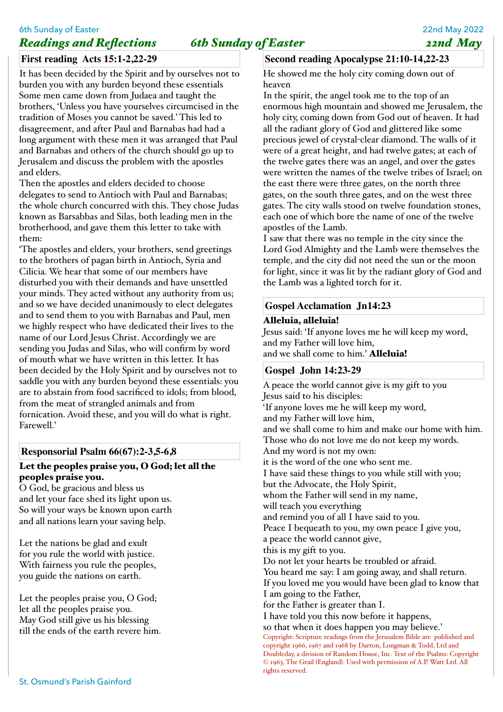# 6th Sunday of Easter 22nd May 2022

*Readings and Reflections 6th Sunday of Easter 22nd May* 

# **First reading Acts 15:1-2,22-29**

It has been decided by the Spirit and by ourselves not to burden you with any burden beyond these essentials Some men came down from Judaea and taught the brothers, 'Unless you have yourselves circumcised in the tradition of Moses you cannot be saved.' This led to disagreement, and after Paul and Barnabas had had a long argument with these men it was arranged that Paul and Barnabas and others of the church should go up to Jerusalem and discuss the problem with the apostles and elders.

Then the apostles and elders decided to choose delegates to send to Antioch with Paul and Barnabas; the whole church concurred with this. They chose Judas known as Barsabbas and Silas, both leading men in the brotherhood, and gave them this letter to take with them:

'The apostles and elders, your brothers, send greetings to the brothers of pagan birth in Antioch, Syria and Cilicia. We hear that some of our members have disturbed you with their demands and have unsettled your minds. They acted without any authority from us; and so we have decided unanimously to elect delegates and to send them to you with Barnabas and Paul, men we highly respect who have dedicated their lives to the name of our Lord Jesus Christ. Accordingly we are sending you Judas and Silas, who will confirm by word of mouth what we have written in this letter. It has been decided by the Holy Spirit and by ourselves not to saddle you with any burden beyond these essentials: you are to abstain from food sacrificed to idols; from blood, from the meat of strangled animals and from fornication. Avoid these, and you will do what is right. Farewell.'

## **Responsorial Psalm 66(67):2-3,5-6,8**

# Let the peoples praise you, O God; let all the peoples praise you.

O God, be gracious and bless us and let your face shed its light upon us. So will your ways be known upon earth and all nations learn your saving help.

Let the nations be glad and exult for you rule the world with justice. With fairness you rule the peoples, you guide the nations on earth.

Let the peoples praise you, O God; let all the peoples praise you. May God still give us his blessing till the ends of the earth revere him.

# **Second reading Apocalypse 21:10-14,22-23**

He showed me the holy city coming down out of heaven

In the spirit, the angel took me to the top of an enormous high mountain and showed me Jerusalem, the holy city, coming down from God out of heaven. It had all the radiant glory of God and glittered like some precious jewel of crystal-clear diamond. The walls of it were of a great height, and had twelve gates; at each of the twelve gates there was an angel, and over the gates were written the names of the twelve tribes of Israel; on the east there were three gates, on the north three gates, on the south three gates, and on the west three gates. The city walls stood on twelve foundation stones, each one of which bore the name of one of the twelve apostles of the Lamb.

I saw that there was no temple in the city since the Lord God Almighty and the Lamb were themselves the temple, and the city did not need the sun or the moon for light, since it was lit by the radiant glory of God and the Lamb was a lighted torch for it.

## **Gospel Acclamation Jn14:23**

#### Alleluia, alleluia!

rights reserved.

Jesus said: 'If anyone loves me he will keep my word, and my Father will love him, and we shall come to him.' **Alleluia!** 

# **Gospel John 14:23-29**

A peace the world cannot give is my gift to you Jesus said to his disciples: 'If anyone loves me he will keep my word, and my Father will love him, and we shall come to him and make our home with him. Those who do not love me do not keep my words. And my word is not my own: it is the word of the one who sent me. I have said these things to you while still with you; but the Advocate, the Holy Spirit, whom the Father will send in my name, will teach you everything and remind you of all I have said to you. Peace I bequeath to you, my own peace I give you, a peace the world cannot give, this is my gift to you. Do not let your hearts be troubled or afraid. You heard me say: I am going away, and shall return. If you loved me you would have been glad to know that I am going to the Father, for the Father is greater than I. I have told you this now before it happens, so that when it does happen you may believe.' Copyright: Scripture readings from the Jerusalem Bible are published and copyright 1966, 1967 and 1968 by Darton, Longman & Todd, Ltd and Doubleday, a division of Random House, Inc. Text of the Psalms: Copyright © 1963, The Grail (England). Used with permission of A.P. Watt Ltd. All

St. Osmund's Parish Gainford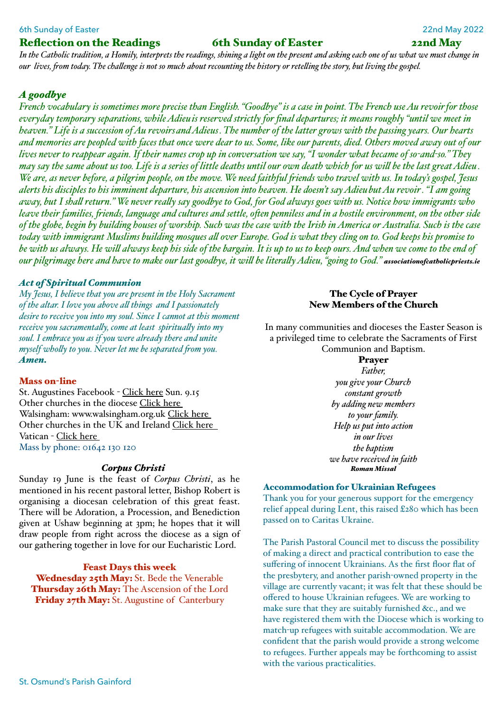#### 6th Sunday of Easter 22nd May 2022

#### Reflection on the Readings 6th Sunday of Easter 22nd May

*In the Catholic tradition, a Homily, interprets the readings, shining a light on the present and asking each one of us what we must change in our lives, fom today. The chalenge is not so much about recounting the history or reteling the story, but living the gospel.* 

#### *A goodbye*

*French vocabulary is sometimes more precise than English. "Goodbye" is a case in point. The French useAu revoirfor those everyday temporary separations, whileAdieuis reserved strictly for final departures; it means roughly "until we meet in heaven." Life is a succession ofAu revoirsandAdieus. The number of the latter grows with the passing years. Our hearts and memories are peopled with faces that once were dear to us. Some, like our parents, died. Others moved away out of our lives never to reappear again. If their names crop up in conversation we say, "I wonder what became of so-and-so." They may say the same about us too. Life is a series of little deaths until our own death which for us wil be the last greatAdieu. We are, as never before, a pilgrim people, on the move. We need faithful fiends who travel with us. In today's gospel, Jesus alerts his disciples to his imminent departure, his ascension into heaven. He doesn't sayAdieubutAu revoir. "I am going away, but I shal return." We never realy say goodbye to God, for God always goes with us. Notice how immigrants who leave their families, fiends, language and cultures and settle, ofen penniless and in a hostile environment, on the other side of the globe, begin by building houses of worship. Such was the case with the Irish in America or Australia. Such is the case today with immigrant Muslims building mosques al over Europe. God is what they cling on to. God keeps his promise to be with us always. He wil always keep his side of the bargain. It is up to us to keep ours. And when we come to the end of our pilgrimage here and have to make our last goodbye, it wil be literalyAdieu, "going to God." associationofcatholicpriests.ie*

# *Act of Spiritual Communion*

*My Jesus, I believe that you are present in the Holy Sacrament of the altar. I love you above al things and I passionately desire to receive you into my soul. Since I cannot at this moment receive you sacramentaly, come at least spiritualy into my soul. I embrace you as if you were already there and unite myself wholy to you. Never let me be separated fom you. Amen.* 

#### Mass 0n-line

St. Augustines Facebook - [Click here](https://www.facebook.com/staugustineschurchdarlington/) Sun. 9.15 Other churches in the diocese [Click here](http://www.rcdhn.org.uk/index.php)  Walsingham: www.walsingham.org.uk [Click here](http://www.walsingham.org.uk)  Other churches in the UK and Ireland [Click here](https://www.churchservices.tv/whats-on-now/)  Vatican - [Click here](https://www.catholictv.org/shows/papal-programming)  Mass by phone: 01642 130 120

#### *Corpus Christi*

Sunday 19 June is the feast of *Corpus Christi*, as he mentioned in his recent pastoral letter, Bishop Robert is organising a diocesan celebration of this great feast. There will be Adoration, a Procession, and Benediction given at Ushaw beginning at 3pm; he hopes that it will draw people from right across the diocese as a sign of our gathering together in love for our Eucharistic Lord.

# Feast Days this week

Wednesday 25th May: St. Bede the Venerable Thursday 26th May: The Ascension of the Lord Friday 27th May: St. Augustine of Canterbury

#### The Cycle of Prayer New Members of the Church

In many communities and dioceses the Easter Season is a privileged time to celebrate the Sacraments of First Communion and Baptism.

> Prayer *Father, you give your Church constant growth by adding new members to your family. Help us put into action in our lives the baptism we have received in faith Roman Missal*

#### Accommodation for Ukrainian Refugees

Thank you for your generous support for the emergency relief appeal during Lent, this raised £280 which has been passed on to Caritas Ukraine.

The Parish Pastoral Council met to discuss the possibility of making a direct and practical contribution to ease the suffering of innocent Ukrainians. As the first floor flat of the presbytery, and another parish-owned property in the village are currently vacant; it was felt that these should be offered to house Ukrainian refugees. We are working to make sure that they are suitably furnished &c., and we have registered them with the Diocese which is working to match-up refugees with suitable accommodation. We are confident that the parish would provide a strong welcome to refugees. Further appeals may be forthcoming to assist with the various practicalities.